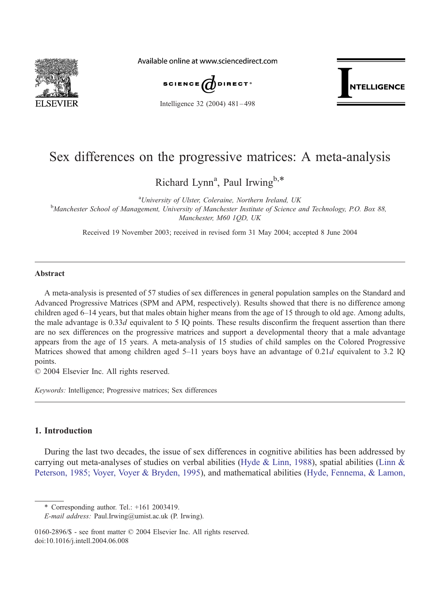

Available online at www.sciencedirect.com



Intelligence 32 (2004) 481 – 498



# Sex differences on the progressive matrices: A meta-analysis

Richard Lynn<sup>a</sup>, Paul Irwing<sup>b,\*</sup>

<sup>a</sup>University of Ulster, Coleraine, Northern Ireland, UK <sup>a</sup>University of Ulster, Coleraine, Northern Ireland, UK<br>Manchester School of Management, University of Manchester Institute of Science and Technology, P.O. Box 88, Manchester, M60 1QD, UK

Received 19 November 2003; received in revised form 31 May 2004; accepted 8 June 2004

### Abstract

A meta-analysis is presented of 57 studies of sex differences in general population samples on the Standard and Advanced Progressive Matrices (SPM and APM, respectively). Results showed that there is no difference among children aged 6–14 years, but that males obtain higher means from the age of 15 through to old age. Among adults, the male advantage is 0.33d equivalent to 5 IQ points. These results disconfirm the frequent assertion than there are no sex differences on the progressive matrices and support a developmental theory that a male advantage appears from the age of 15 years. A meta-analysis of 15 studies of child samples on the Colored Progressive Matrices showed that among children aged 5–11 years boys have an advantage of 0.21d equivalent to 3.2 IQ points.

 $© 2004 Elsevier Inc. All rights reserved.$ 

Keywords: Intelligence; Progressive matrices; Sex differences

# 1. Introduction

During the last two decades, the issue of sex differences in cognitive abilities has been addressed by carrying out meta-analyses of studies on verbal abilities ([Hyde & Linn, 1988\)](#page-15-0), spatial abilities ([Linn &](#page-15-0) Peterson, 1985; Voyer, Voyer & Bryden, 1995), and mathematical abilities ([Hyde, Fennema, & Lamon,](#page-15-0)

<sup>\*</sup> Corresponding author. Tel.: +161 2003419.

E-mail address: Paul.Irwing@umist.ac.uk (P. Irwing).

<sup>0160-2896/\$ -</sup> see front matter  $\odot$  2004 Elsevier Inc. All rights reserved. doi:10.1016/j.intell.2004.06.008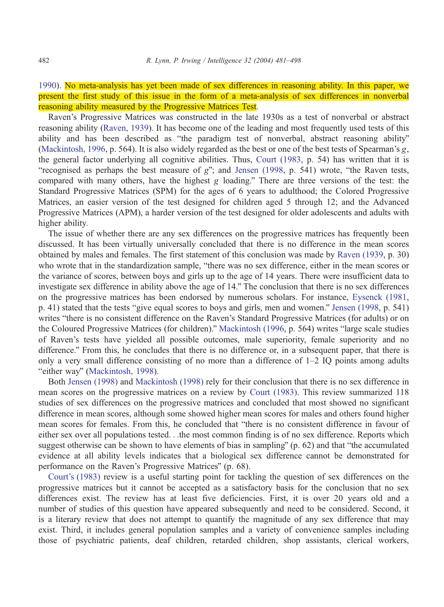1990). No meta-analysis has yet been made of sex differences in reasoning ability. In this paper, we present the first study of this issue in the form of a meta-analysis of sex differences in nonverbal reasoning ability measured by the Progressive Matrices Test.

Raven's Progressive Matrices was constructed in the late 1930s as a test of nonverbal or abstract reasoning ability ([Raven, 1939\)](#page-16-0). It has become one of the leading and most frequently used tests of this ability and has been described as "the paradigm test of nonverbal, abstract reasoning ability" ([Mackintosh, 1996,](#page-16-0) p. 564). It is also widely regarded as the best or one of the best tests of Spearman's g, the general factor underlying all cognitive abilities. Thus, [Court \(1983,](#page-14-0) p. 54) has written that it is "recognised as perhaps the best measure of  $g$ "; and [Jensen \(1998,](#page-15-0) p. 541) wrote, "the Raven tests, compared with many others, have the highest g loading." There are three versions of the test: the Standard Progressive Matrices (SPM) for the ages of 6 years to adulthood; the Colored Progressive Matrices, an easier version of the test designed for children aged 5 through 12; and the Advanced Progressive Matrices (APM), a harder version of the test designed for older adolescents and adults with higher ability.

The issue of whether there are any sex differences on the progressive matrices has frequently been discussed. It has been virtually universally concluded that there is no difference in the mean scores obtained by males and females. The first statement of this conclusion was made by [Raven \(1939,](#page-16-0) p. 30) who wrote that in the standardization sample, "there was no sex difference, either in the mean scores or the variance of scores, between boys and girls up to the age of 14 years. There were insufficient data to investigate sex difference in ability above the age of 14." The conclusion that there is no sex differences on the progressive matrices has been endorsed by numerous scholars. For instance, [Eysenck \(1981,](#page-15-0) p. 41) stated that the tests "give equal scores to boys and girls, men and women." [Jensen \(1998,](#page-15-0) p. 541) writes "there is no consistent difference on the Raven's Standard Progressive Matrices (for adults) or on the Coloured Progressive Matrices (for children)." [Mackintosh \(1996,](#page-16-0) p. 564) writes "large scale studies of Raven's tests have yielded all possible outcomes, male superiority, female superiority and no difference." From this, he concludes that there is no difference or, in a subsequent paper, that there is only a very small difference consisting of no more than a difference of  $1-2$  IQ points among adults "either way" ([Mackintosh, 1998\)](#page-16-0).

Both [Jensen \(1998\)](#page-15-0) and [Mackintosh \(1998\)](#page-16-0) rely for their conclusion that there is no sex difference in mean scores on the progressive matrices on a review by [Court \(1983\).](#page-14-0) This review summarized 118 studies of sex differences on the progressive matrices and concluded that most showed no significant difference in mean scores, although some showed higher mean scores for males and others found higher mean scores for females. From this, he concluded that "there is no consistent difference in favour of either sex over all populations tested...the most common finding is of no sex difference. Reports which suggest otherwise can be shown to have elements of bias in sampling" (p. 62) and that "the accumulated evidence at all ability levels indicates that a biological sex difference cannot be demonstrated for performance on the Raven's Progressive Matrices" (p. 68).

[Court's \(1983\)](#page-14-0) review is a useful starting point for tackling the question of sex differences on the progressive matrices but it cannot be accepted as a satisfactory basis for the conclusion that no sex differences exist. The review has at least five deficiencies. First, it is over 20 years old and a number of studies of this question have appeared subsequently and need to be considered. Second, it is a literary review that does not attempt to quantify the magnitude of any sex difference that may exist. Third, it includes general population samples and a variety of convenience samples including those of psychiatric patients, deaf children, retarded children, shop assistants, clerical workers,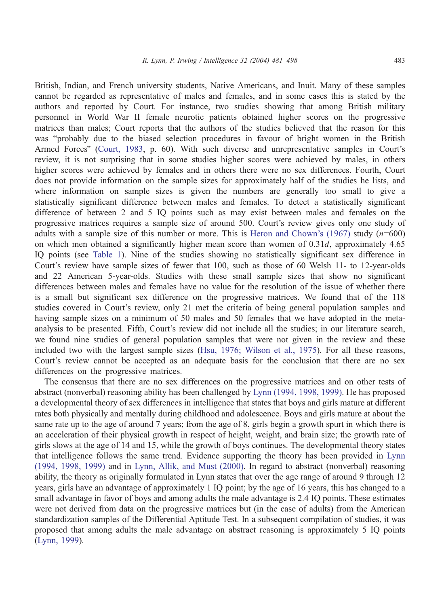British, Indian, and French university students, Native Americans, and Inuit. Many of these samples cannot be regarded as representative of males and females, and in some cases this is stated by the authors and reported by Court. For instance, two studies showing that among British military personnel in World War II female neurotic patients obtained higher scores on the progressive matrices than males; Court reports that the authors of the studies believed that the reason for this was "probably due to the biased selection procedures in favour of bright women in the British Armed Forces" ([Court, 1983,](#page-14-0) p. 60). With such diverse and unrepresentative samples in Court's review, it is not surprising that in some studies higher scores were achieved by males, in others higher scores were achieved by females and in others there were no sex differences. Fourth, Court does not provide information on the sample sizes for approximately half of the studies he lists, and where information on sample sizes is given the numbers are generally too small to give a statistically significant difference between males and females. To detect a statistically significant difference of between 2 and 5 IQ points such as may exist between males and females on the progressive matrices requires a sample size of around 500. Court's review gives only one study of adults with a sample size of this number or more. This is Heron and Chown's  $(1967)$  study  $(n=600)$ on which men obtained a significantly higher mean score than women of 0.31d, approximately 4.65 IQ points (see [Table 1\)](#page-7-0). Nine of the studies showing no statistically significant sex difference in Court's review have sample sizes of fewer that 100, such as those of 60 Welsh 11- to 12-year-olds and 22 American 5-year-olds. Studies with these small sample sizes that show no significant differences between males and females have no value for the resolution of the issue of whether there is a small but significant sex difference on the progressive matrices. We found that of the 118 studies covered in Court's review, only 21 met the criteria of being general population samples and having sample sizes on a minimum of 50 males and 50 females that we have adopted in the metaanalysis to be presented. Fifth, Court's review did not include all the studies; in our literature search, we found nine studies of general population samples that were not given in the review and these included two with the largest sample sizes ([Hsu, 1976; Wilson et al., 1975\)](#page-15-0). For all these reasons, Court's review cannot be accepted as an adequate basis for the conclusion that there are no sex differences on the progressive matrices.

The consensus that there are no sex differences on the progressive matrices and on other tests of abstract (nonverbal) reasoning ability has been challenged by [Lynn \(1994, 1998, 1999\).](#page-15-0) He has proposed a developmental theory of sex differences in intelligence that states that boys and girls mature at different rates both physically and mentally during childhood and adolescence. Boys and girls mature at about the same rate up to the age of around 7 years; from the age of 8, girls begin a growth spurt in which there is an acceleration of their physical growth in respect of height, weight, and brain size; the growth rate of girls slows at the age of 14 and 15, while the growth of boys continues. The developmental theory states that intelligence follows the same trend. Evidence supporting the theory has been provided in [Lynn](#page-15-0) (1994, 1998, 1999) and in [Lynn, Allik, and Must \(2000\).](#page-16-0) In regard to abstract (nonverbal) reasoning ability, the theory as originally formulated in Lynn states that over the age range of around 9 through 12 years, girls have an advantage of approximately 1 IQ point; by the age of 16 years, this has changed to a small advantage in favor of boys and among adults the male advantage is 2.4 IQ points. These estimates were not derived from data on the progressive matrices but (in the case of adults) from the American standardization samples of the Differential Aptitude Test. In a subsequent compilation of studies, it was proposed that among adults the male advantage on abstract reasoning is approximately 5 IQ points [\(Lynn, 1999\)](#page-16-0).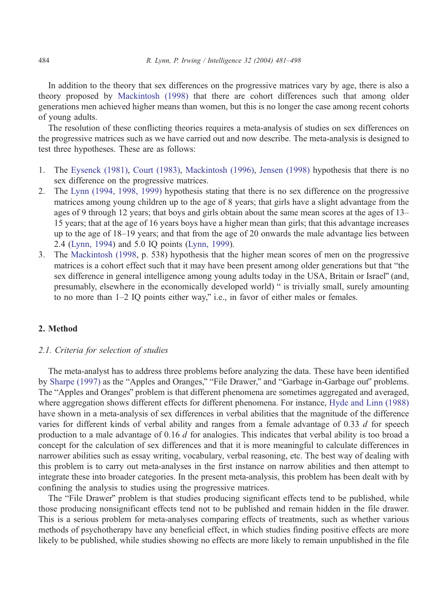In addition to the theory that sex differences on the progressive matrices vary by age, there is also a theory proposed by [Mackintosh \(1998\)](#page-16-0) that there are cohort differences such that among older generations men achieved higher means than women, but this is no longer the case among recent cohorts of young adults.

The resolution of these conflicting theories requires a meta-analysis of studies on sex differences on the progressive matrices such as we have carried out and now describe. The meta-analysis is designed to test three hypotheses. These are as follows:

- 1. The [Eysenck \(1981\),](#page-15-0) [Court \(1983\),](#page-14-0) [Mackintosh \(1996\),](#page-16-0) [Jensen \(1998\)](#page-15-0) hypothesis that there is no sex difference on the progressive matrices.
- 2. The [Lynn \(1994, 1998, 1999\)](#page-15-0) hypothesis stating that there is no sex difference on the progressive matrices among young children up to the age of 8 years; that girls have a slight advantage from the ages of 9 through 12 years; that boys and girls obtain about the same mean scores at the ages of 13– 15 years; that at the age of 16 years boys have a higher mean than girls; that this advantage increases up to the age of 18–19 years; and that from the age of 20 onwards the male advantage lies between 2.4 [\(Lynn, 1994\)](#page-15-0) and 5.0 IQ points ([Lynn, 1999\)](#page-16-0).
- 3. The [Mackintosh \(1998,](#page-16-0) p. 538) hypothesis that the higher mean scores of men on the progressive matrices is a cohort effect such that it may have been present among older generations but that "the sex difference in general intelligence among young adults today in the USA, Britain or Israel" (and, presumably, elsewhere in the economically developed world) " is trivially small, surely amounting to no more than  $1-2$  IQ points either way," i.e., in favor of either males or females.

# 2. Method

## 2.1. Criteria for selection of studies

The meta-analyst has to address three problems before analyzing the data. These have been identified by [Sharpe \(1997\)](#page-17-0) as the "Apples and Oranges," "File Drawer," and "Garbage in-Garbage out" problems. The "Apples and Oranges" problem is that different phenomena are sometimes aggregated and averaged, where aggregation shows different effects for different phenomena. For instance, [Hyde and Linn \(1988\)](#page-15-0) have shown in a meta-analysis of sex differences in verbal abilities that the magnitude of the difference varies for different kinds of verbal ability and ranges from a female advantage of 0.33 d for speech production to a male advantage of  $0.16 d$  for analogies. This indicates that verbal ability is too broad a concept for the calculation of sex differences and that it is more meaningful to calculate differences in narrower abilities such as essay writing, vocabulary, verbal reasoning, etc. The best way of dealing with this problem is to carry out meta-analyses in the first instance on narrow abilities and then attempt to integrate these into broader categories. In the present meta-analysis, this problem has been dealt with by confining the analysis to studies using the progressive matrices.

The "File Drawer" problem is that studies producing significant effects tend to be published, while those producing nonsignificant effects tend not to be published and remain hidden in the file drawer. This is a serious problem for meta-analyses comparing effects of treatments, such as whether various methods of psychotherapy have any beneficial effect, in which studies finding positive effects are more likely to be published, while studies showing no effects are more likely to remain unpublished in the file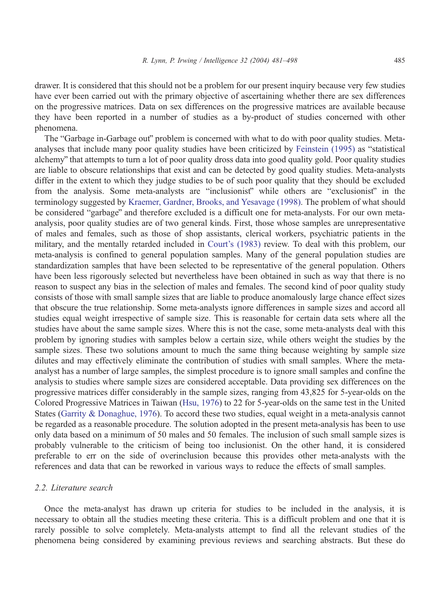drawer. It is considered that this should not be a problem for our present inquiry because very few studies have ever been carried out with the primary objective of ascertaining whether there are sex differences on the progressive matrices. Data on sex differences on the progressive matrices are available because they have been reported in a number of studies as a by-product of studies concerned with other phenomena.

The "Garbage in-Garbage out" problem is concerned with what to do with poor quality studies. Meta-analyses that include many poor quality studies have been criticized by [Feinstein \(1995\)](#page-15-0) as "statistical alchemy" that attempts to turn a lot of poor quality dross data into good quality gold. Poor quality studies are liable to obscure relationships that exist and can be detected by good quality studies. Meta-analysts differ in the extent to which they judge studies to be of such poor quality that they should be excluded from the analysis. Some meta-analysts are "inclusionist" while others are "exclusionist" in the terminology suggested by [Kraemer, Gardner, Brooks, and Yesavage \(1998\).](#page-15-0) The problem of what should be considered "garbage" and therefore excluded is a difficult one for meta-analysts. For our own metaanalysis, poor quality studies are of two general kinds. First, those whose samples are unrepresentative of males and females, such as those of shop assistants, clerical workers, psychiatric patients in the military, and the mentally retarded included in [Court's \(1983\)](#page-14-0) review. To deal with this problem, our meta-analysis is confined to general population samples. Many of the general population studies are standardization samples that have been selected to be representative of the general population. Others have been less rigorously selected but nevertheless have been obtained in such as way that there is no reason to suspect any bias in the selection of males and females. The second kind of poor quality study consists of those with small sample sizes that are liable to produce anomalously large chance effect sizes that obscure the true relationship. Some meta-analysts ignore differences in sample sizes and accord all studies equal weight irrespective of sample size. This is reasonable for certain data sets where all the studies have about the same sample sizes. Where this is not the case, some meta-analysts deal with this problem by ignoring studies with samples below a certain size, while others weight the studies by the sample sizes. These two solutions amount to much the same thing because weighting by sample size dilutes and may effectively eliminate the contribution of studies with small samples. Where the metaanalyst has a number of large samples, the simplest procedure is to ignore small samples and confine the analysis to studies where sample sizes are considered acceptable. Data providing sex differences on the progressive matrices differ considerably in the sample sizes, ranging from 43,825 for 5-year-olds on the Colored Progressive Matrices in Taiwan ([Hsu, 1976\)](#page-15-0) to 22 for 5-year-olds on the same test in the United States ([Garrity & Donaghue, 1976\)](#page-15-0). To accord these two studies, equal weight in a meta-analysis cannot be regarded as a reasonable procedure. The solution adopted in the present meta-analysis has been to use only data based on a minimum of 50 males and 50 females. The inclusion of such small sample sizes is probably vulnerable to the criticism of being too inclusionist. On the other hand, it is considered preferable to err on the side of overinclusion because this provides other meta-analysts with the references and data that can be reworked in various ways to reduce the effects of small samples.

#### 2.2. Literature search

Once the meta-analyst has drawn up criteria for studies to be included in the analysis, it is necessary to obtain all the studies meeting these criteria. This is a difficult problem and one that it is rarely possible to solve completely. Meta-analysts attempt to find all the relevant studies of the phenomena being considered by examining previous reviews and searching abstracts. But these do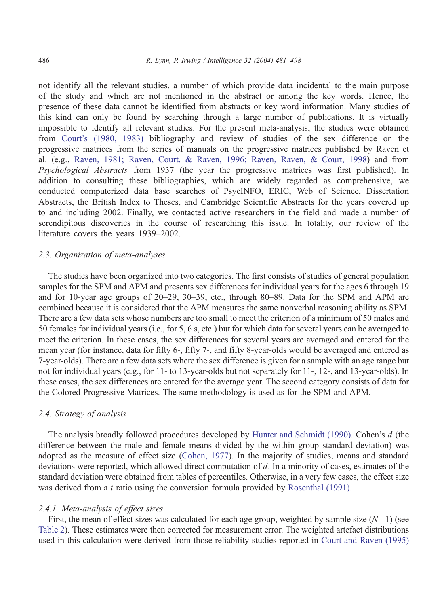not identify all the relevant studies, a number of which provide data incidental to the main purpose of the study and which are not mentioned in the abstract or among the key words. Hence, the presence of these data cannot be identified from abstracts or key word information. Many studies of this kind can only be found by searching through a large number of publications. It is virtually impossible to identify all relevant studies. For the present meta-analysis, the studies were obtained from [Court's \(1980, 1983\)](#page-14-0) bibliography and review of studies of the sex difference on the progressive matrices from the series of manuals on the progressive matrices published by Raven et al. (e.g., [Raven, 1981; Raven, Court, & Raven, 1996; Raven, Raven, & Court, 1998\)](#page-16-0) and from Psychological Abstracts from 1937 (the year the progressive matrices was first published). In addition to consulting these bibliographies, which are widely regarded as comprehensive, we conducted computerized data base searches of PsycINFO, ERIC, Web of Science, Dissertation Abstracts, the British Index to Theses, and Cambridge Scientific Abstracts for the years covered up to and including 2002. Finally, we contacted active researchers in the field and made a number of serendipitous discoveries in the course of researching this issue. In totality, our review of the literature covers the years 1939–2002.

## 2.3. Organization of meta-analyses

The studies have been organized into two categories. The first consists of studies of general population samples for the SPM and APM and presents sex differences for individual years for the ages 6 through 19 and for 10-year age groups of 20–29, 30–39, etc., through 80–89. Data for the SPM and APM are combined because it is considered that the APM measures the same nonverbal reasoning ability as SPM. There are a few data sets whose numbers are too small to meet the criterion of a minimum of 50 males and 50 females for individual years (i.e., for 5, 6 s, etc.) but for which data for several years can be averaged to meet the criterion. In these cases, the sex differences for several years are averaged and entered for the mean year (for instance, data for fifty 6-, fifty 7-, and fifty 8-year-olds would be averaged and entered as 7-year-olds). There are a few data sets where the sex difference is given for a sample with an age range but not for individual years (e.g., for 11- to 13-year-olds but not separately for 11-, 12-, and 13-year-olds). In these cases, the sex differences are entered for the average year. The second category consists of data for the Colored Progressive Matrices. The same methodology is used as for the SPM and APM.

## 2.4. Strategy of analysis

The analysis broadly followed procedures developed by [Hunter and Schmidt \(1990\).](#page-15-0) Cohen's d (the difference between the male and female means divided by the within group standard deviation) was adopted as the measure of effect size ([Cohen, 1977\)](#page-14-0). In the majority of studies, means and standard deviations were reported, which allowed direct computation of  $d$ . In a minority of cases, estimates of the standard deviation were obtained from tables of percentiles. Otherwise, in a very few cases, the effect size was derived from a t ratio using the conversion formula provided by [Rosenthal \(1991\).](#page-17-0)

#### 2.4.1. Meta-analysis of effect sizes

First, the mean of effect sizes was calculated for each age group, weighted by sample size  $(N-1)$  (see [Table 2\)](#page-10-0). These estimates were then corrected for measurement error. The weighted artefact distributions used in this calculation were derived from those reliability studies reported in [Court and Raven \(1995\)](#page-14-0)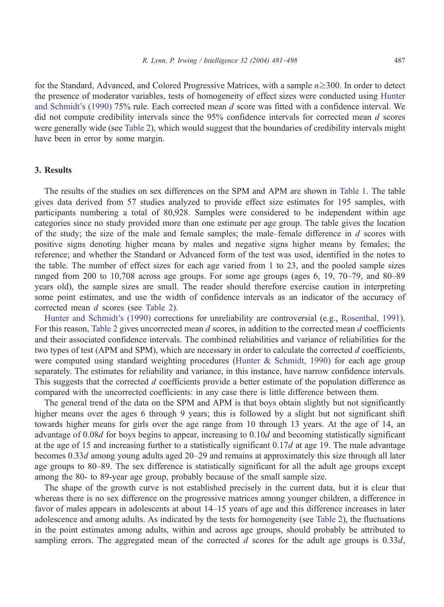for the Standard, Advanced, and Colored Progressive Matrices, with a sample  $n \geq 300$ . In order to detect the presence of moderator variables, tests of homogeneity of effect sizes were conducted using [Hunter](#page-15-0) and Schmidt's (1990) 75% rule. Each corrected mean d score was fitted with a confidence interval. We did not compute credibility intervals since the 95% confidence intervals for corrected mean d scores were generally wide (see [Table 2\)](#page-10-0), which would suggest that the boundaries of credibility intervals might have been in error by some margin.

## 3. Results

The results of the studies on sex differences on the SPM and APM are shown in [Table 1.](#page-7-0) The table gives data derived from 57 studies analyzed to provide effect size estimates for 195 samples, with participants numbering a total of 80,928. Samples were considered to be independent within age categories since no study provided more than one estimate per age group. The table gives the location of the study; the size of the male and female samples; the male–female difference in  $d$  scores with positive signs denoting higher means by males and negative signs higher means by females; the reference; and whether the Standard or Advanced form of the test was used, identified in the notes to the table. The number of effect sizes for each age varied from 1 to 23, and the pooled sample sizes ranged from 200 to 10,708 across age groups. For some age groups (ages 6, 19, 70–79, and 80–89 years old), the sample sizes are small. The reader should therefore exercise caution in interpreting some point estimates, and use the width of confidence intervals as an indicator of the accuracy of corrected mean d scores (see [Table 2\)](#page-9-0).

[Hunter and Schmidt's \(1990\)](#page-15-0) corrections for unreliability are controversial (e.g., [Rosenthal, 1991\)](#page-17-0). For this reason, [Table 2](#page-9-0) gives uncorrected mean d scores, in addition to the corrected mean d coefficients and their associated confidence intervals. The combined reliabilities and variance of reliabilities for the two types of test (APM and SPM), which are necessary in order to calculate the corrected d coefficients, were computed using standard weighting procedures ([Hunter & Schmidt, 1990\)](#page-15-0) for each age group separately. The estimates for reliability and variance, in this instance, have narrow confidence intervals. This suggests that the corrected d coefficients provide a better estimate of the population difference as compared with the uncorrected coefficients: in any case there is little difference between them.

The general trend of the data on the SPM and APM is that boys obtain slightly but not significantly higher means over the ages 6 through 9 years; this is followed by a slight but not significant shift towards higher means for girls over the age range from 10 through 13 years. At the age of 14, an advantage of 0.08d for boys begins to appear, increasing to 0.10d and becoming statistically significant at the age of 15 and increasing further to a statistically significant  $0.17d$  at age 19. The male advantage becomes 0.33d among young adults aged 20–29 and remains at approximately this size through all later age groups to 80–89. The sex difference is statistically significant for all the adult age groups except among the 80- to 89-year age group, probably because of the small sample size.

The shape of the growth curve is not established precisely in the current data, but it is clear that whereas there is no sex difference on the progressive matrices among younger children, a difference in favor of males appears in adolescents at about 14–15 years of age and this difference increases in later adolescence and among adults. As indicated by the tests for homogeneity (see [Table 2\)](#page-9-0), the fluctuations in the point estimates among adults, within and across age groups, should probably be attributed to sampling errors. The aggregated mean of the corrected  $d$  scores for the adult age groups is 0.33d,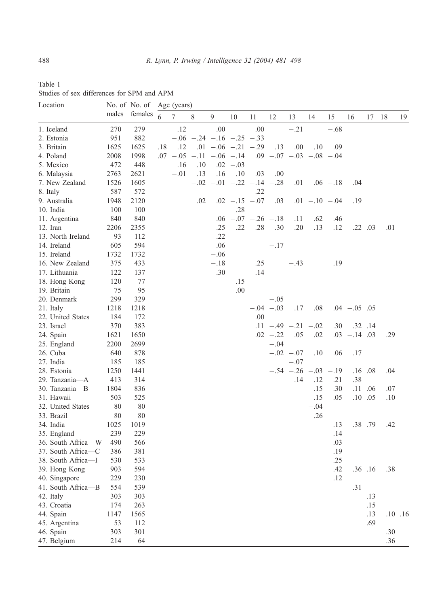<span id="page-7-0"></span>

| Table 1 |                                            |  |  |
|---------|--------------------------------------------|--|--|
|         | Studies of sex differences for SPM and APM |  |  |

| Location           |       |         | No. of No. of Age (years) |        |     |                                    |                         |        |               |                           |                   |               |                 |             |                    |             |
|--------------------|-------|---------|---------------------------|--------|-----|------------------------------------|-------------------------|--------|---------------|---------------------------|-------------------|---------------|-----------------|-------------|--------------------|-------------|
|                    | males | females | 6                         | $\tau$ | 8   | 9                                  | 10                      | 11     | 12            | 13                        | 14                | 15            | 16              | 17 18       |                    | 19          |
| 1. Iceland         | 270   | 279     |                           | .12    |     | .00                                |                         | .00    |               | $-.21$                    |                   | $-.68$        |                 |             |                    |             |
| 2. Estonia         | 951   | 882     |                           |        |     | $-.06$ $-.24$ $-.16$ $-.25$ $-.33$ |                         |        |               |                           |                   |               |                 |             |                    |             |
| 3. Britain         | 1625  | 1625    | .18                       | .12    |     | $.01 - .06 - .21 - .29$            |                         |        | .13           | .00.                      | .10               | .09           |                 |             |                    |             |
| 4. Poland          | 2008  | 1998    |                           |        |     | $.07 - .05 - .11 - .06 - .14$      |                         |        |               | $.09$ -.07 -.03 -.08 -.04 |                   |               |                 |             |                    |             |
| 5. Mexico          | 472   | 448     |                           | .16    | .10 |                                    | $.02 - .03$             |        |               |                           |                   |               |                 |             |                    |             |
| 6. Malaysia        | 2763  | 2621    |                           | $-.01$ | .13 | .16                                | .10                     | .03    | .00.          |                           |                   |               |                 |             |                    |             |
| 7. New Zealand     | 1526  | 1605    |                           |        |     | $-.02$ $-.01$ $-.22$ $-.14$ $-.28$ |                         |        |               | .01                       |                   | $.06 - .18$   | .04             |             |                    |             |
| 8. Italy           | 587   | 572     |                           |        |     |                                    |                         | .22    |               |                           |                   |               |                 |             |                    |             |
| 9. Australia       | 1948  | 2120    |                           |        | .02 |                                    | $.02 - .15 - .07$       |        | .03           |                           | $.01 - .10 - .04$ |               | .19             |             |                    |             |
| 10. India          | 100   | 100     |                           |        |     |                                    | .28                     |        |               |                           |                   |               |                 |             |                    |             |
| 11. Argentina      | 840   | 840     |                           |        |     |                                    | $.06 - .07 - .26 - .18$ |        |               | .11                       | .62               | .46           |                 |             |                    |             |
| 12. Iran           | 2206  | 2355    |                           |        |     | .25                                | .22                     | .28    | .30           | .20                       | .13               | .12           |                 | $.22$ $.03$ | .01                |             |
| 13. North Ireland  | 93    | 112     |                           |        |     | .22                                |                         |        |               |                           |                   |               |                 |             |                    |             |
| 14. Ireland        | 605   | 594     |                           |        |     | .06                                |                         |        | $-.17$        |                           |                   |               |                 |             |                    |             |
| 15. Ireland        | 1732  | 1732    |                           |        |     | $-.06$                             |                         |        |               |                           |                   |               |                 |             |                    |             |
| 16. New Zealand    | 375   | 433     |                           |        |     | $-.18$                             |                         | .25    |               | $-.43$                    |                   | .19           |                 |             |                    |             |
| 17. Lithuania      | 122   | 137     |                           |        |     | .30                                |                         | $-.14$ |               |                           |                   |               |                 |             |                    |             |
| 18. Hong Kong      | 120   | 77      |                           |        |     |                                    | .15                     |        |               |                           |                   |               |                 |             |                    |             |
| 19. Britain        | 75    | 95      |                           |        |     |                                    | .00                     |        |               |                           |                   |               |                 |             |                    |             |
| 20. Denmark        | 299   | 329     |                           |        |     |                                    |                         |        | $-.05$        |                           |                   |               |                 |             |                    |             |
| 21. Italy          | 1218  | 1218    |                           |        |     |                                    |                         |        | $-.04$ $-.03$ | .17                       | .08               |               | $.04 - .05$ .05 |             |                    |             |
| 22. United States  | 184   | 172     |                           |        |     |                                    |                         | .00    |               |                           |                   |               |                 |             |                    |             |
| 23. Israel         | 370   | 383     |                           |        |     |                                    |                         |        |               | $.11 - .49 - .21 - .02$   |                   | .30           |                 | $.32$ $.14$ |                    |             |
| 24. Spain          | 1621  | 1650    |                           |        |     |                                    |                         |        | $.02 - .22$   | .05                       | .02               |               | $.03 - .14$ .03 |             | .29                |             |
| 25. England        | 2200  | 2699    |                           |        |     |                                    |                         |        | $-.04$        |                           |                   |               |                 |             |                    |             |
| 26. Cuba           | 640   | 878     |                           |        |     |                                    |                         |        |               | $-.02$ $-.07$             | .10               | .06           | .17             |             |                    |             |
| 27. India          | 185   | 185     |                           |        |     |                                    |                         |        |               | $-.07$                    |                   |               |                 |             |                    |             |
| 28. Estonia        | 1250  | 1441    |                           |        |     |                                    |                         |        |               | $-.54 - .26$              |                   | $-.03$ $-.19$ |                 | .16 .08     | .04                |             |
| 29. Tanzania-A     | 413   | 314     |                           |        |     |                                    |                         |        |               | .14                       | .12               | .21           | .38             |             |                    |             |
| 30. Tanzania-B     | 1804  | 836     |                           |        |     |                                    |                         |        |               |                           | .15               | .30           |                 |             | $.11$ $.06$ $-.07$ |             |
| 31. Hawaii         | 503   | 525     |                           |        |     |                                    |                         |        |               |                           |                   | $.15 - .05$   |                 | $.10$ $.05$ | .10                |             |
| 32. United States  | 80    | 80      |                           |        |     |                                    |                         |        |               |                           | $-.04$            |               |                 |             |                    |             |
| 33. Brazil         | 80    | 80      |                           |        |     |                                    |                         |        |               |                           | .26               |               |                 |             |                    |             |
| 34. India          | 1025  | 1019    |                           |        |     |                                    |                         |        |               |                           |                   | .13           |                 | .38 .79     | .42                |             |
| 35. England        | 239   | 229     |                           |        |     |                                    |                         |        |               |                           |                   | .14           |                 |             |                    |             |
| 36. South Africa-W | 490   | 566     |                           |        |     |                                    |                         |        |               |                           |                   | $-.03$        |                 |             |                    |             |
| 37. South Africa-C | 386   | 381     |                           |        |     |                                    |                         |        |               |                           |                   | .19           |                 |             |                    |             |
| 38. South Africa-I | 530   | 533     |                           |        |     |                                    |                         |        |               |                           |                   | .25           |                 |             |                    |             |
| 39. Hong Kong      | 903   | 594     |                           |        |     |                                    |                         |        |               |                           |                   | .42           |                 | $.36$ .16   | .38                |             |
| 40. Singapore      | 229   | 230     |                           |        |     |                                    |                         |        |               |                           |                   | .12           |                 |             |                    |             |
| 41. South Africa-B | 554   | 539     |                           |        |     |                                    |                         |        |               |                           |                   |               | .31             |             |                    |             |
| 42. Italy          | 303   | 303     |                           |        |     |                                    |                         |        |               |                           |                   |               |                 | .13         |                    |             |
| 43. Croatia        | 174   | 263     |                           |        |     |                                    |                         |        |               |                           |                   |               |                 | .15         |                    |             |
| 44. Spain          | 1147  | 1565    |                           |        |     |                                    |                         |        |               |                           |                   |               |                 | .13         |                    | $.10$ $.16$ |
| 45. Argentina      | 53    | 112     |                           |        |     |                                    |                         |        |               |                           |                   |               |                 | .69         |                    |             |
| 46. Spain          | 303   | 301     |                           |        |     |                                    |                         |        |               |                           |                   |               |                 |             | .30                |             |
| 47. Belgium        | 214   | 64      |                           |        |     |                                    |                         |        |               |                           |                   |               |                 |             | .36                |             |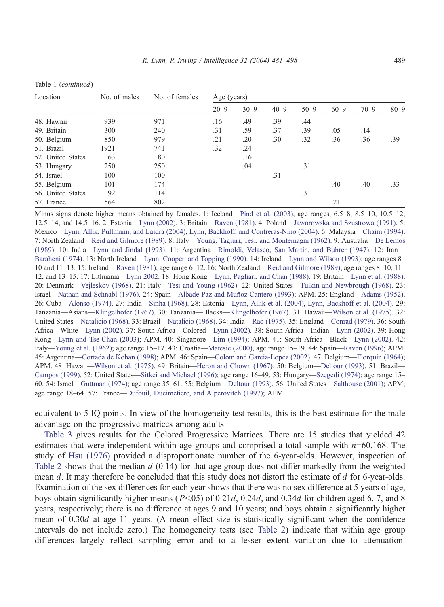| Location          | No. of males | No. of females | Age (years) |          |          |          |          |          |          |  |  |
|-------------------|--------------|----------------|-------------|----------|----------|----------|----------|----------|----------|--|--|
|                   |              |                | $20 - 9$    | $30 - 9$ | $40 - 9$ | $50 - 9$ | $60 - 9$ | $70 - 9$ | $80 - 9$ |  |  |
| 48. Hawaii        | 939          | 971            | .16         | .49      | .39      | .44      |          |          |          |  |  |
| 49. Britain       | 300          | 240            | .31         | .59      | .37      | .39      | .05      | .14      |          |  |  |
| 50. Belgium       | 850          | 979            | .21         | .20      | .30      | .32      | .36      | .36      | .39      |  |  |
| 51. Brazil        | 1921         | 741            | .32         | .24      |          |          |          |          |          |  |  |
| 52. United States | 63           | 80             |             | .16      |          |          |          |          |          |  |  |
| 53. Hungary       | 250          | 250            |             | .04      |          | .31      |          |          |          |  |  |
| 54. Israel        | 100          | 100            |             |          | .31      |          |          |          |          |  |  |
| 55. Belgium       | 101          | 174            |             |          |          |          | .40      | .40      | .33      |  |  |
| 56. United States | 92           | 114            |             |          |          | .31      |          |          |          |  |  |
| 57. France        | 564          | 802            |             |          |          |          | .21      |          |          |  |  |

Minus signs denote higher means obtained by females. 1: Iceland—[Pind et al. \(2003\),](#page-16-0) age ranges, 6.5–8, 8.5–10, 10.5–12, 12.5–14, and 14.5–16. 2: Estonia—[Lynn \(2002\).](#page-16-0) 3: Britain—[Raven \(1981\).](#page-16-0) 4: Poland—[Jaworowska and Szustrowa \(1991\).](#page-15-0) 5: Mexico—[Lynn, Allik, Pullmann, and Laidra \(2004\),](#page-16-0) [Lynn, Backhoff, and Contreras-Nino \(2004\).](#page-16-0) 6: Malaysia—[Chaim \(1994\).](#page-14-0) 7: North Zealand—[Reid and Gilmore \(1989\).](#page-16-0) 8: Italy—[Young, Tagiuri, Tesi, and Montemagni \(1962\).](#page-17-0) 9: Australia—[De Lemos](#page-14-0) (1989). 10: India—[Lynn and Jindal \(1993\).](#page-16-0) 11: Argentina—[Rimoldi, Velasco, San Martin, and Buhrer \(1947\).](#page-17-0) 12: Iran— [Baraheni \(1974\).](#page-14-0) 13: North Ireland—[Lynn, Cooper, and Topping \(1990\).](#page-16-0) 14: Ireland—[Lynn and Wilson \(1993\);](#page-16-0) age ranges 8– 10 and 11–13. 15: Ireland—[Raven \(1981\);](#page-16-0) age range 6–12. 16: North Zealand—[Reid and Gilmore \(1989\);](#page-16-0) age ranges 8–10, 11– 12, and 13–15. 17: Lithuania—[Lynn 2002.](#page-16-0) 18: Hong Kong—[Lynn, Pagliari, and Chan \(1988\).](#page-16-0) 19: Britain—[Lynn et al. \(1988\).](#page-16-0) 20: Denmark—[Vejleskov \(1968\).](#page-17-0) 21: Italy—[Tesi and Young \(1962\).](#page-17-0) 22: United States—[Tulkin and Newbrough \(1968\).](#page-17-0) 23: Israel—[Nathan and Schnabl \(1976\).](#page-16-0) 24: Spain—Albade Paz and Muñoz Cantero (1993); APM. 25: England—[Adams \(1952\).](#page-14-0) 26: Cuba—[Alonso \(1974\).](#page-14-0) 27: India—[Sinha \(1968\).](#page-17-0) 28: Estonia—[Lynn, Allik et al. \(2004\),](#page-16-0) [Lynn, Backhoff et al. \(2004\).](#page-16-0) 29: Tanzania—Asians—[Klingelhofer \(1967\).](#page-15-0) 30: Tanzania—Blacks—[Klingelhofer \(1967\).](#page-15-0) 31: Hawaii—[Wilson et al. \(1975\).](#page-17-0) 32: United States—[Natalicio \(1968\).](#page-16-0) 33: Brazil—[Natalicio \(1968\).](#page-16-0) 34: India—[Rao \(1975\).](#page-16-0) 35: England—[Conrad \(1979\).](#page-14-0) 36: South Africa—White—[Lynn \(2002\).](#page-16-0) 37: South Africa—Colored—[Lynn \(2002\).](#page-16-0) 38: South Africa—Indian—[Lynn \(2002\).](#page-16-0) 39: Hong Kong—[Lynn and Tse-Chan \(2003\);](#page-16-0) APM. 40: Singapore—[Lim \(1994\);](#page-15-0) APM. 41: South Africa—Black—[Lynn \(2002\).](#page-16-0) 42: Italy—[Young et al. \(1962\);](#page-17-0) age range 15–17. 43: Croatia—[Matesic \(2000\),](#page-16-0) age range 15–19. 44: Spain—[Raven \(1996\);](#page-16-0) APM. 45: Argentina—[Cortada de Kohan \(1998\);](#page-14-0) APM. 46: Spain—[Colom and Garcia-Lopez \(2002\).](#page-14-0) 47. Belgium—[Florquin \(1964\);](#page-15-0) APM. 48: Hawaii—[Wilson et al. \(1975\).](#page-17-0) 49: Britain—[Heron and Chown \(1967\).](#page-15-0) 50: Belgium—[Deltour \(1993\).](#page-14-0) 51: Brazil— [Campos \(1999\).](#page-14-0) 52: United States—[Sitkei and Michael \(1996\);](#page-17-0) age range 16–49. 53: Hungary—[Szegedi \(1974\);](#page-17-0) age range 15– 60. 54: Israel—[Guttman \(1974\);](#page-15-0) age range 35–61. 55: Belgium—[Deltour \(1993\).](#page-14-0) 56: United States—[Salthouse \(2001\);](#page-17-0) APM; age range 18–64. 57: France—[Dufouil, Ducimetiere, and Alperovitch \(1997\);](#page-14-0) APM.

equivalent to 5 IQ points. In view of the homogeneity test results, this is the best estimate for the male advantage on the progressive matrices among adults.

[Table 3](#page-10-0) gives results for the Colored Progressive Matrices. There are 15 studies that yielded 42 estimates that were independent within age groups and comprised a total sample with  $n=60,168$ . The study of [Hsu \(1976\)](#page-15-0) provided a disproportionate number of the 6-year-olds. However, inspection of [Table 2](#page-9-0) shows that the median  $d$  (0.14) for that age group does not differ markedly from the weighted mean d. It may therefore be concluded that this study does not distort the estimate of d for 6-year-olds. Examination of the sex differences for each year shows that there was no sex difference at 5 years of age, boys obtain significantly higher means ( $P<05$ ) of 0.21d, 0.24d, and 0.34d for children aged 6, 7, and 8 years, respectively; there is no difference at ages 9 and 10 years; and boys obtain a significantly higher mean of 0.30d at age 11 years. (A mean effect size is statistically significant when the confidence intervals do not include zero.) The homogeneity tests (see [Table 2\)](#page-9-0) indicate that within age group differences largely reflect sampling error and to a lesser extent variation due to attenuation.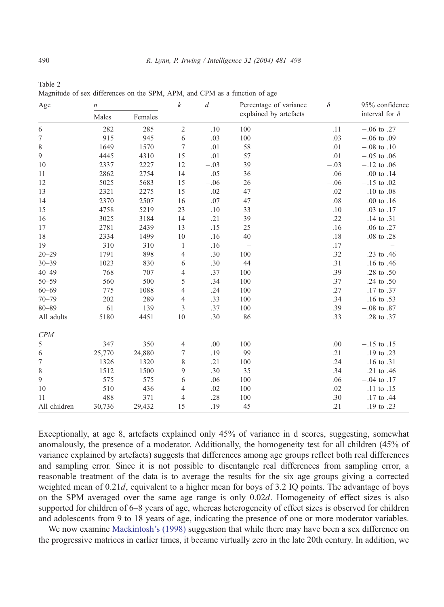| Age<br>$\it n$ |        |         | $\boldsymbol{k}$ | $\boldsymbol{d}$ | Percentage of variance   | $\delta$ | 95% confidence        |
|----------------|--------|---------|------------------|------------------|--------------------------|----------|-----------------------|
|                | Males  | Females |                  |                  | explained by artefacts   |          | interval for $\delta$ |
| 6              | 282    | 285     | $\sqrt{2}$       | .10              | 100                      | .11      | $-.06$ to .27         |
| 7              | 915    | 945     | 6                | .03              | 100                      | .03      | $-.06$ to $.09$       |
| 8              | 1649   | 1570    | 7                | .01              | 58                       | .01      | $-.08$ to $.10$       |
| 9              | 4445   | 4310    | 15               | .01              | 57                       | .01      | $-.05$ to $.06$       |
| 10             | 2337   | 2227    | 12               | $-.03$           | 39                       | $-.03$   | $-.12$ to $.06$       |
| 11             | 2862   | 2754    | 14               | .05              | 36                       | .06      | .00 to .14            |
| 12             | 5025   | 5683    | 15               | $-.06$           | 26                       | $-.06$   | $-.15$ to $.02$       |
| 13             | 2321   | 2275    | 15               | $-.02$           | 47                       | $-.02$   | $-.10$ to $.08$       |
| 14             | 2370   | 2507    | 16               | .07              | 47                       | $.08$    | $.00$ to $.16$        |
| 15             | 4758   | 5219    | 23               | .10              | 33                       | .10      | .03 to .17            |
| 16             | 3025   | 3184    | 14               | .21              | 39                       | .22      | .14 to .31            |
| 17             | 2781   | 2439    | 13               | .15              | 25                       | .16      | .06 to .27            |
| 18             | 2334   | 1499    | 10               | .16              | 40                       | $.18$    | .08 to .28            |
| 19             | 310    | 310     | $\mathbf{1}$     | .16              | $\overline{\phantom{0}}$ | .17      |                       |
| $20 - 29$      | 1791   | 898     | 4                | .30              | 100                      | .32      | .23 to .46            |
| $30 - 39$      | 1023   | 830     | 6                | .30              | 44                       | .31      | .16 to .46            |
| $40 - 49$      | 768    | 707     | 4                | .37              | 100                      | .39      | .28 to .50            |
| $50 - 59$      | 560    | 500     | 5                | .34              | 100                      | .37      | .24 to .50            |
| $60 - 69$      | 775    | 1088    | 4                | .24              | 100                      | .27      | .17 to .37            |
| $70 - 79$      | 202    | 289     | 4                | .33              | 100                      | .34      | .16 to .53            |
| $80 - 89$      | 61     | 139     | $\mathfrak{Z}$   | .37              | 100                      | .39      | $-.08$ to $.87$       |
| All adults     | 5180   | 4451    | 10               | .30              | 86                       | .33      | .28 to .37            |
| CPM            |        |         |                  |                  |                          |          |                       |
| 5              | 347    | 350     | 4                | .00.             | 100                      | .00      | $-.15$ to $.15$       |
| 6              | 25,770 | 24,880  | 7                | .19              | 99                       | .21      | .19 to .23            |
| 7              | 1326   | 1320    | 8                | .21              | 100                      | .24      | .16 to .31            |
| 8              | 1512   | 1500    | 9                | .30              | 35                       | .34      | .21 to .46            |
| 9              | 575    | 575     | 6                | .06              | 100                      | .06      | $-.04$ to $.17$       |
| 10             | 510    | 436     | 4                | .02              | 100                      | .02      | $-.11$ to $.15$       |
| 11             | 488    | 371     | $\overline{4}$   | .28              | 100                      | .30      | .17 to .44            |
| All children   | 30,736 | 29,432  | 15               | .19              | 45                       | .21      | .19 to .23            |

<span id="page-9-0"></span>Table 2 Magnitude of sex differences on the SPM, APM, and CPM as a function of age

Exceptionally, at age 8, artefacts explained only 45% of variance in d scores, suggesting, somewhat anomalously, the presence of a moderator. Additionally, the homogeneity test for all children (45% of variance explained by artefacts) suggests that differences among age groups reflect both real differences and sampling error. Since it is not possible to disentangle real differences from sampling error, a reasonable treatment of the data is to average the results for the six age groups giving a corrected weighted mean of 0.21d, equivalent to a higher mean for boys of 3.2 IQ points. The advantage of boys on the SPM averaged over the same age range is only 0.02d. Homogeneity of effect sizes is also supported for children of 6–8 years of age, whereas heterogeneity of effect sizes is observed for children and adolescents from 9 to 18 years of age, indicating the presence of one or more moderator variables.

We now examine [Mackintosh's \(1998\)](#page-16-0) suggestion that while there may have been a sex difference on the progressive matrices in earlier times, it became virtually zero in the late 20th century. In addition, we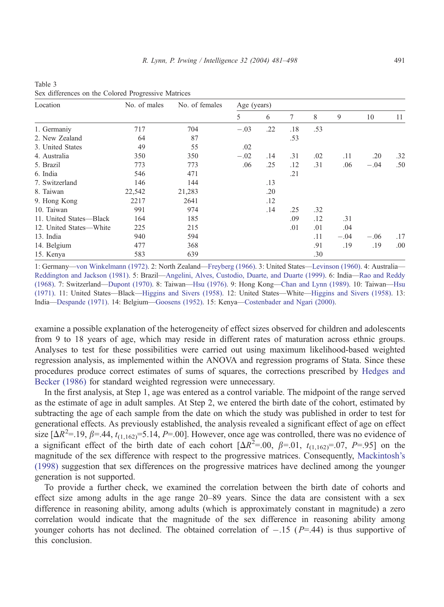| Location                | No. of males | No. of females | Age (years) |     |     |     |        |        |     |  |  |
|-------------------------|--------------|----------------|-------------|-----|-----|-----|--------|--------|-----|--|--|
|                         |              |                | 5           | 6   | 7   | 8   | 9      | 10     | 11  |  |  |
| 1. Germaniy             | 717          | 704            | $-.03$      | .22 | .18 | .53 |        |        |     |  |  |
| 2. New Zealand          | 64           | 87             |             |     | .53 |     |        |        |     |  |  |
| 3. United States        | 49           | 55             | .02         |     |     |     |        |        |     |  |  |
| 4. Australia            | 350          | 350            | $-.02$      | .14 | .31 | .02 | .11    | .20    | .32 |  |  |
| 5. Brazil               | 773          | 773            | .06         | .25 | .12 | .31 | .06    | $-.04$ | .50 |  |  |
| 6. India                | 546          | 471            |             |     | .21 |     |        |        |     |  |  |
| 7. Switzerland          | 146          | 144            |             | .13 |     |     |        |        |     |  |  |
| 8. Taiwan               | 22,542       | 21,283         |             | .20 |     |     |        |        |     |  |  |
| 9. Hong Kong            | 2217         | 2641           |             | .12 |     |     |        |        |     |  |  |
| 10. Taiwan              | 991          | 974            |             | .14 | .25 | .32 |        |        |     |  |  |
| 11. United States-Black | 164          | 185            |             |     | .09 | .12 | .31    |        |     |  |  |
| 12. United States—White | 225          | 215            |             |     | .01 | .01 | .04    |        |     |  |  |
| 13. India               | 940          | 594            |             |     |     | .11 | $-.04$ | $-.06$ | .17 |  |  |
| 14. Belgium             | 477          | 368            |             |     |     | .91 | .19    | .19    | .00 |  |  |
| 15. Kenya               | 583          | 639            |             |     |     | .30 |        |        |     |  |  |

<span id="page-10-0"></span>Table 3 Sex differences on the Colored Progressive Matrices

1: Germany—[von Winkelmann \(1972\).](#page-17-0) 2: North Zealand—[Freyberg \(1966\).](#page-15-0) 3: United States—[Levinson \(1960\).](#page-15-0) 4: Australia— [Reddington and Jackson \(1981\).](#page-16-0) 5: Brazil—[Angelini, Alves, Custodio, Duarte, and Duarte \(1999\).](#page-14-0) 6: India—[Rao and Reddy](#page-16-0) (1968). 7: Switzerland—[Dupont \(1970\).](#page-15-0) 8: Taiwan—[Hsu \(1976\).](#page-15-0) 9: Hong Kong—[Chan and Lynn \(1989\).](#page-14-0) 10: Taiwan—[Hsu](#page-15-0) (1971). 11: United States—Black—[Higgins and Sivers \(1958\).](#page-15-0) 12: United States—White—[Higgins and Sivers \(1958\).](#page-15-0) 13: India—[Despande \(1971\).](#page-14-0) 14: Belgium—[Goosens \(1952\).](#page-15-0) 15: Kenya—[Costenbader and Ngari \(2000\).](#page-14-0)

examine a possible explanation of the heterogeneity of effect sizes observed for children and adolescents from 9 to 18 years of age, which may reside in different rates of maturation across ethnic groups. Analyses to test for these possibilities were carried out using maximum likelihood-based weighted regression analysis, as implemented within the ANOVA and regression programs of Stata. Since these procedures produce correct estimates of sums of squares, the corrections prescribed by [Hedges and](#page-15-0) Becker (1986) for standard weighted regression were unnecessary.

In the first analysis, at Step 1, age was entered as a control variable. The midpoint of the range served as the estimate of age in adult samples. At Step 2, we entered the birth date of the cohort, estimated by subtracting the age of each sample from the date on which the study was published in order to test for generational effects. As previously established, the analysis revealed a significant effect of age on effect size  $[\Delta R^2 = .19, \beta = .44, t_{(1,162)} = 5.14, P = .00]$ . However, once age was controlled, there was no evidence of a significant effect of the birth date of each cohort  $[\Delta R^2 = .00, \beta = .01, t_{(1,162)} = .07, P = .95]$  on the magnitude of the sex difference with respect to the progressive matrices. Consequently, [Mackintosh's](#page-16-0) (1998) suggestion that sex differences on the progressive matrices have declined among the younger generation is not supported.

To provide a further check, we examined the correlation between the birth date of cohorts and effect size among adults in the age range 20–89 years. Since the data are consistent with a sex difference in reasoning ability, among adults (which is approximately constant in magnitude) a zero correlation would indicate that the magnitude of the sex difference in reasoning ability among younger cohorts has not declined. The obtained correlation of  $-.15$  ( $P=.44$ ) is thus supportive of this conclusion.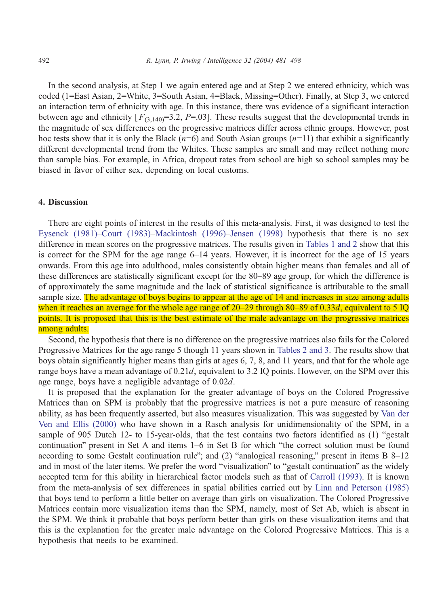In the second analysis, at Step 1 we again entered age and at Step 2 we entered ethnicity, which was coded (1=East Asian, 2=White, 3=South Asian, 4=Black, Missing=Other). Finally, at Step 3, we entered an interaction term of ethnicity with age. In this instance, there was evidence of a significant interaction between age and ethnicity  $[F_{(3,140)}=3.2, P=.03]$ . These results suggest that the developmental trends in the magnitude of sex differences on the progressive matrices differ across ethnic groups. However, post hoc tests show that it is only the Black ( $n=6$ ) and South Asian groups ( $n=11$ ) that exhibit a significantly different developmental trend from the Whites. These samples are small and may reflect nothing more than sample bias. For example, in Africa, dropout rates from school are high so school samples may be biased in favor of either sex, depending on local customs.

# 4. Discussion

There are eight points of interest in the results of this meta-analysis. First, it was designed to test the [Eysenck \(1981\)–](#page-15-0)[Court \(1983\)–](#page-14-0)[Mackintosh \(1996\)–](#page-16-0)[Jensen \(1998\)](#page-15-0) hypothesis that there is no sex difference in mean scores on the progressive matrices. The results given in [Tables 1 and 2](#page-7-0) show that this is correct for the SPM for the age range 6–14 years. However, it is incorrect for the age of 15 years onwards. From this age into adulthood, males consistently obtain higher means than females and all of these differences are statistically significant except for the 80–89 age group, for which the difference is of approximately the same magnitude and the lack of statistical significance is attributable to the small sample size. The advantage of boys begins to appear at the age of 14 and increases in size among adults when it reaches an average for the whole age range of 20–29 through 80–89 of 0.33d, equivalent to 5 IQ points. It is proposed that this is the best estimate of the male advantage on the progressive matrices among adults.

Second, the hypothesis that there is no difference on the progressive matrices also fails for the Colored Progressive Matrices for the age range 5 though 11 years shown in [Tables 2 and 3.](#page-9-0) The results show that boys obtain significantly higher means than girls at ages 6, 7, 8, and 11 years, and that for the whole age range boys have a mean advantage of 0.21d, equivalent to 3.2 IQ points. However, on the SPM over this age range, boys have a negligible advantage of 0.02d.

It is proposed that the explanation for the greater advantage of boys on the Colored Progressive Matrices than on SPM is probably that the progressive matrices is not a pure measure of reasoning ability, as has been frequently asserted, but also measures visualization. This was suggested by [Van der](#page-17-0) Ven and Ellis (2000) who have shown in a Rasch analysis for unidimensionality of the SPM, in a sample of 905 Dutch 12- to 15-year-olds, that the test contains two factors identified as (1) "gestalt continuation" present in Set A and items  $1-6$  in Set B for which "the correct solution must be found according to some Gestalt continuation rule"; and  $(2)$  "analogical reasoning," present in items B 8–12 and in most of the later items. We prefer the word "visualization" to "gestalt continuation" as the widely accepted term for this ability in hierarchical factor models such as that of [Carroll \(1993\).](#page-14-0) It is known from the meta-analysis of sex differences in spatial abilities carried out by [Linn and Peterson \(1985\)](#page-15-0) that boys tend to perform a little better on average than girls on visualization. The Colored Progressive Matrices contain more visualization items than the SPM, namely, most of Set Ab, which is absent in the SPM. We think it probable that boys perform better than girls on these visualization items and that this is the explanation for the greater male advantage on the Colored Progressive Matrices. This is a hypothesis that needs to be examined.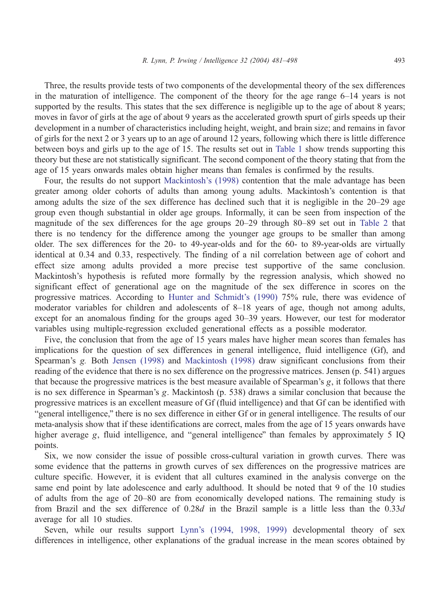Three, the results provide tests of two components of the developmental theory of the sex differences in the maturation of intelligence. The component of the theory for the age range 6–14 years is not supported by the results. This states that the sex difference is negligible up to the age of about 8 years; moves in favor of girls at the age of about 9 years as the accelerated growth spurt of girls speeds up their development in a number of characteristics including height, weight, and brain size; and remains in favor of girls for the next 2 or 3 years up to an age of around 12 years, following which there is little difference between boys and girls up to the age of 15. The results set out in [Table 1](#page-7-0) show trends supporting this theory but these are not statistically significant. The second component of the theory stating that from the age of 15 years onwards males obtain higher means than females is confirmed by the results.

Four, the results do not support [Mackintosh's \(1998\)](#page-16-0) contention that the male advantage has been greater among older cohorts of adults than among young adults. Mackintosh's contention is that among adults the size of the sex difference has declined such that it is negligible in the 20–29 age group even though substantial in older age groups. Informally, it can be seen from inspection of the magnitude of the sex differences for the age groups 20–29 through 80–89 set out in [Table 2](#page-9-0) that there is no tendency for the difference among the younger age groups to be smaller than among older. The sex differences for the 20- to 49-year-olds and for the 60- to 89-year-olds are virtually identical at 0.34 and 0.33, respectively. The finding of a nil correlation between age of cohort and effect size among adults provided a more precise test supportive of the same conclusion. Mackintosh's hypothesis is refuted more formally by the regression analysis, which showed no significant effect of generational age on the magnitude of the sex difference in scores on the progressive matrices. According to [Hunter and Schmidt's \(1990\)](#page-15-0) 75% rule, there was evidence of moderator variables for children and adolescents of 8–18 years of age, though not among adults, except for an anomalous finding for the groups aged 30–39 years. However, our test for moderator variables using multiple-regression excluded generational effects as a possible moderator.

Five, the conclusion that from the age of 15 years males have higher mean scores than females has implications for the question of sex differences in general intelligence, fluid intelligence (Gf), and Spearman's g. Both [Jensen \(1998\)](#page-15-0) and [Mackintosh \(1998\)](#page-16-0) draw significant conclusions from their reading of the evidence that there is no sex difference on the progressive matrices. Jensen (p. 541) argues that because the progressive matrices is the best measure available of Spearman's g, it follows that there is no sex difference in Spearman's g. Mackintosh (p. 538) draws a similar conclusion that because the progressive matrices is an excellent measure of Gf (fluid intelligence) and that Gf can be identified with "general intelligence," there is no sex difference in either Gf or in general intelligence. The results of our meta-analysis show that if these identifications are correct, males from the age of 15 years onwards have higher average g, fluid intelligence, and "general intelligence" than females by approximately 5 IO points.

Six, we now consider the issue of possible cross-cultural variation in growth curves. There was some evidence that the patterns in growth curves of sex differences on the progressive matrices are culture specific. However, it is evident that all cultures examined in the analysis converge on the same end point by late adolescence and early adulthood. It should be noted that 9 of the 10 studies of adults from the age of 20–80 are from economically developed nations. The remaining study is from Brazil and the sex difference of 0.28d in the Brazil sample is a little less than the 0.33d average for all 10 studies.

Seven, while our results support [Lynn's \(1994, 1998, 1999\)](#page-15-0) developmental theory of sex differences in intelligence, other explanations of the gradual increase in the mean scores obtained by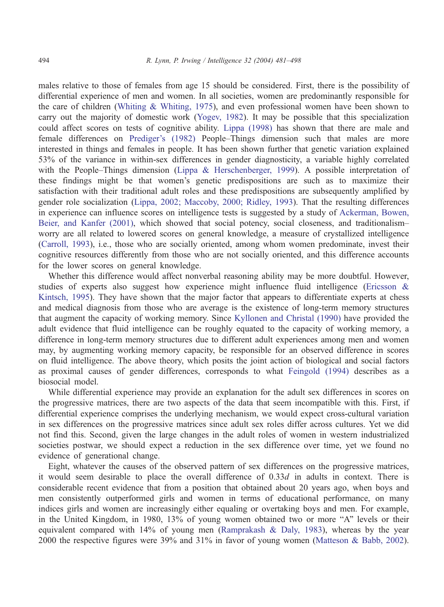males relative to those of females from age 15 should be considered. First, there is the possibility of differential experience of men and women. In all societies, women are predominantly responsible for the care of children ([Whiting & Whiting, 1975\)](#page-17-0), and even professional women have been shown to carry out the majority of domestic work ([Yogev, 1982\)](#page-17-0). It may be possible that this specialization could affect scores on tests of cognitive ability. [Lippa \(1998\)](#page-15-0) has shown that there are male and female differences on [Prediger's \(1982\)](#page-16-0) People–Things dimension such that males are more interested in things and females in people. It has been shown further that genetic variation explained 53% of the variance in within-sex differences in gender diagnosticity, a variable highly correlated with the People–Things dimension ([Lippa & Herschenberger, 1999\)](#page-15-0). A possible interpretation of these findings might be that women's genetic predispositions are such as to maximize their satisfaction with their traditional adult roles and these predispositions are subsequently amplified by gender role socialization ([Lippa, 2002; Maccoby, 2000; Ridley, 1993\)](#page-15-0). That the resulting differences in experience can influence scores on intelligence tests is suggested by a study of [Ackerman, Bowen,](#page-14-0) Beier, and Kanfer (2001), which showed that social potency, social closeness, and traditionalism– worry are all related to lowered scores on general knowledge, a measure of crystallized intelligence ([Carroll, 1993\)](#page-14-0), i.e., those who are socially oriented, among whom women predominate, invest their cognitive resources differently from those who are not socially oriented, and this difference accounts for the lower scores on general knowledge.

Whether this difference would affect nonverbal reasoning ability may be more doubtful. However, studies of experts also suggest how experience might influence fluid intelligence ([Ericsson &](#page-15-0) Kintsch, 1995). They have shown that the major factor that appears to differentiate experts at chess and medical diagnosis from those who are average is the existence of long-term memory structures that augment the capacity of working memory. Since [Kyllonen and Christal \(1990\)](#page-15-0) have provided the adult evidence that fluid intelligence can be roughly equated to the capacity of working memory, a difference in long-term memory structures due to different adult experiences among men and women may, by augmenting working memory capacity, be responsible for an observed difference in scores on fluid intelligence. The above theory, which posits the joint action of biological and social factors as proximal causes of gender differences, corresponds to what [Feingold \(1994\)](#page-15-0) describes as a biosocial model.

While differential experience may provide an explanation for the adult sex differences in scores on the progressive matrices, there are two aspects of the data that seem incompatible with this. First, if differential experience comprises the underlying mechanism, we would expect cross-cultural variation in sex differences on the progressive matrices since adult sex roles differ across cultures. Yet we did not find this. Second, given the large changes in the adult roles of women in western industrialized societies postwar, we should expect a reduction in the sex difference over time, yet we found no evidence of generational change.

Eight, whatever the causes of the observed pattern of sex differences on the progressive matrices, it would seem desirable to place the overall difference of  $0.33d$  in adults in context. There is considerable recent evidence that from a position that obtained about 20 years ago, when boys and men consistently outperformed girls and women in terms of educational performance, on many indices girls and women are increasingly either equaling or overtaking boys and men. For example, in the United Kingdom, in 1980, 13% of young women obtained two or more "A" levels or their equivalent compared with 14% of young men ([Ramprakash & Daly, 1983\)](#page-16-0), whereas by the year 2000 the respective figures were 39% and 31% in favor of young women ([Matteson & Babb, 2002\)](#page-16-0).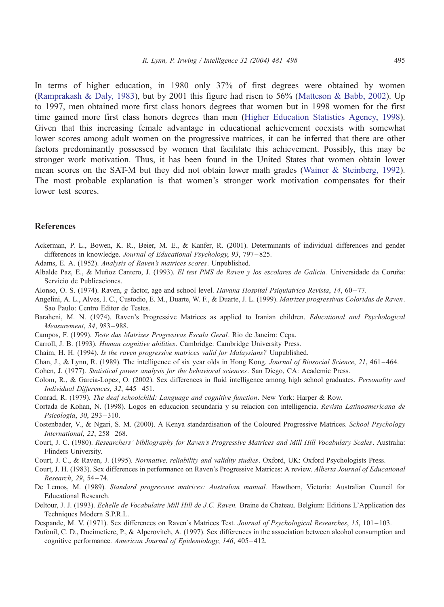<span id="page-14-0"></span>In terms of higher education, in 1980 only 37% of first degrees were obtained by women [\(Ramprakash & Daly, 1983\)](#page-16-0), but by 2001 this figure had risen to 56% ([Matteson & Babb, 2002\)](#page-16-0). Up to 1997, men obtained more first class honors degrees that women but in 1998 women for the first time gained more first class honors degrees than men ([Higher Education Statistics Agency, 1998\)](#page-15-0). Given that this increasing female advantage in educational achievement coexists with somewhat lower scores among adult women on the progressive matrices, it can be inferred that there are other factors predominantly possessed by women that facilitate this achievement. Possibly, this may be stronger work motivation. Thus, it has been found in the United States that women obtain lower mean scores on the SAT-M but they did not obtain lower math grades ([Wainer & Steinberg, 1992\)](#page-17-0). The most probable explanation is that women's stronger work motivation compensates for their lower test scores.

### References

- Ackerman, P. L., Bowen, K. R., Beier, M. E., & Kanfer, R. (2001). Determinants of individual differences and gender differences in knowledge. Journal of Educational Psychology, 93, 797–825.
- Adams, E. A. (1952). Analysis of Raven's matrices scores. Unpublished.
- Albalde Paz, E., & Muñoz Cantero, J. (1993). El test PMS de Raven y los escolares de Galicia. Universidade da Coruña: Servicio de Publicaciones.
- Alonso, O. S. (1974). Raven, g factor, age and school level. Havana Hospital Psiquiatrico Revista, 14, 60–77.
- Angelini, A. L., Alves, I. C., Custodio, E. M., Duarte, W. F., & Duarte, J. L. (1999). Matrizes progressivas Coloridas de Raven. Sao Paulo: Centro Editor de Testes.
- Baraheni, M. N. (1974). Raven's Progressive Matrices as applied to Iranian children. *Educational and Psychological* Measurement, 34, 983 – 988.
- Campos, F. (1999). Teste das Matrizes Progresivas Escala Geral. Rio de Janeiro: Cepa.
- Carroll, J. B. (1993). Human cognitive abilities. Cambridge: Cambridge University Press.
- Chaim, H. H. (1994). Is the raven progressive matrices valid for Malaysians? Unpublished.
- Chan, J., & Lynn, R. (1989). The intelligence of six year olds in Hong Kong. Journal of Biosocial Science, 21, 461 464.

Cohen, J. (1977). Statistical power analysis for the behavioral sciences. San Diego, CA: Academic Press.

- Colom, R., & Garcia-Lopez, O. (2002). Sex differences in fluid intelligence among high school graduates. Personality and Individual Differences, 32, 445 – 451.
- Conrad, R. (1979). The deaf schoolchild: Language and cognitive function. New York: Harper & Row.
- Cortada de Kohan, N. (1998). Logos en educacion secundaria y su relacion con intelligencia. Revista Latinoamericana de Psicologia, 30, 293 – 310.
- Costenbader, V., & Ngari, S. M. (2000). A Kenya standardisation of the Coloured Progressive Matrices. School Psychology International, 22, 258-268.
- Court, J. C. (1980). Researchers' bibliography for Raven's Progressive Matrices and Mill Hill Vocabulary Scales. Australia: Flinders University.
- Court, J. C., & Raven, J. (1995). Normative, reliability and validity studies. Oxford, UK: Oxford Psychologists Press.
- Court, J. H. (1983). Sex differences in performance on Raven's Progressive Matrices: A review. Alberta Journal of Educational Research, 29, 54 – 74.
- De Lemos, M. (1989). Standard progressive matrices: Australian manual. Hawthorn, Victoria: Australian Council for Educational Research.
- Deltour, J. J. (1993). *Echelle de Vocabulaire Mill Hill de J.C. Raven.* Braine de Chateau. Belgium: Editions L'Application des Techniques Modern S.P.R.L.
- Despande, M. V. (1971). Sex differences on Raven's Matrices Test. Journal of Psychological Researches, 15, 101-103.
- Dufouil, C. D., Ducimetiere, P., & Alperovitch, A. (1997). Sex differences in the association between alcohol consumption and cognitive performance. American Journal of Epidemiology, 146, 405-412.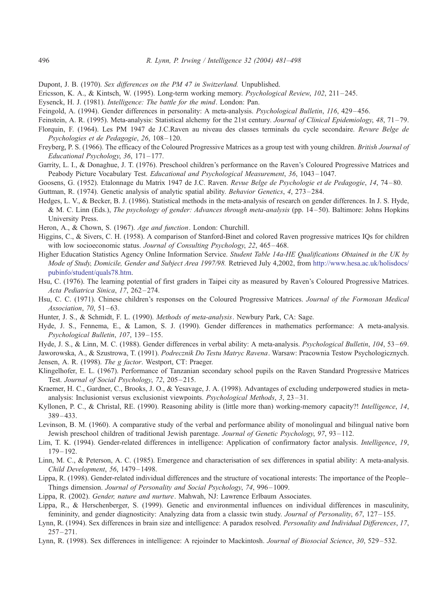<span id="page-15-0"></span>Dupont, J. B. (1970). Sex differences on the PM 47 in Switzerland. Unpublished.

Ericsson, K. A., & Kintsch, W. (1995). Long-term working memory. Psychological Review, 102, 211 – 245.

- Eysenck, H. J. (1981). Intelligence: The battle for the mind. London: Pan.
- Feingold, A. (1994). Gender differences in personality: A meta-analysis. Psychological Bulletin, 116, 429 456.
- Feinstein, A. R. (1995). Meta-analysis: Statistical alchemy for the 21st century. Journal of Clinical Epidemiology, 48, 71-79.
- Florquin, F. (1964). Les PM 1947 de J.C.Raven au niveau des classes terminals du cycle secondaire. Revure Belge de Psychologies et de Pedagogie, 26, 108-120.
- Freyberg, P. S. (1966). The efficacy of the Coloured Progressive Matrices as a group test with young children. British Journal of Educational Psychology, 36, 171 – 177.
- Garrity, L. I., & Donaghue, J. T. (1976). Preschool children's performance on the Raven's Coloured Progressive Matrices and Peabody Picture Vocabulary Test. Educational and Psychological Measurement, 36, 1043–1047.
- Goosens, G. (1952). Etalonnage du Matrix 1947 de J.C. Raven. Revue Belge de Psychologie et de Pedagogie, 14, 74-80.

Guttman, R. (1974). Genetic analysis of analytic spatial ability. Behavior Genetics, 4, 273 – 284.

- Hedges, L. V., & Becker, B. J. (1986). Statistical methods in the meta-analysis of research on gender differences. In J. S. Hyde, & M. C. Linn (Eds.), The psychology of gender: Advances through meta-analysis (pp. 14–50). Baltimore: Johns Hopkins University Press.
- Heron, A., & Chown, S. (1967). Age and function. London: Churchill.
- Higgins, C., & Sivers, C. H. (1958). A comparison of Stanford-Binet and colored Raven progressive matrices IQs for children with low socioeconomic status. Journal of Consulting Psychology, 22, 465–468.
- Higher Education Statistics Agency Online Information Service. Student Table 14a-HE Qualifications Obtained in the UK by Mode of Study, Domicile, Gender and Subject Area 1997/98. Retrieved July 4,2002, from [http://www.hesa.ac.uk/holisdocs/]( http:\\www.hesa.ac.uk\holisdocs\pubinfo\student\quals78.htm ) pubinfo/student/quals78.htm.
- Hsu, C. (1976). The learning potential of first graders in Taipei city as measured by Raven's Coloured Progressive Matrices. Acta Pediatrica Sinica, 17, 262-274.
- Hsu, C. C. (1971). Chinese children's responses on the Coloured Progressive Matrices. Journal of the Formosan Medical Association, 70, 51-63.
- Hunter, J. S., & Schmidt, F. L. (1990). *Methods of meta-analysis*. Newbury Park, CA: Sage.
- Hyde, J. S., Fennema, E., & Lamon, S. J. (1990). Gender differences in mathematics performance: A meta-analysis. Psychological Bulletin, 107, 139-155.
- Hyde, J. S., & Linn, M. C. (1988). Gender differences in verbal ability: A meta-analysis. Psychological Bulletin, 104, 53-69.
- Jaworowska, A., & Szustrowa, T. (1991). Podrecznik Do Testu Matryc Ravena. Warsaw: Pracownia Testow Psychologicznych. Jensen, A. R. (1998). The g factor. Westport, CT: Praeger.
- Klingelhofer, E. L. (1967). Performance of Tanzanian secondary school pupils on the Raven Standard Progressive Matrices Test. Journal of Social Psychology, 72, 205 – 215.
- Kraemer, H. C., Gardner, C., Brooks, J. O., & Yesavage, J. A. (1998). Advantages of excluding underpowered studies in metaanalysis: Inclusionist versus exclusionist viewpoints. Psychological Methods, 3, 23 – 31.
- Kyllonen, P. C., & Christal, RE. (1990). Reasoning ability is (little more than) working-memory capacity?! *Intelligence*, 14, 389 – 433.
- Levinson, B. M. (1960). A comparative study of the verbal and performance ability of monolingual and bilingual native born Jewish preschool children of traditional Jewish parentage. Journal of Genetic Psychology, 97, 93 – 112.
- Lim, T. K. (1994). Gender-related differences in intelligence: Application of confirmatory factor analysis. *Intelligence*, 19,  $179 - 192.$
- Linn, M. C., & Peterson, A. C. (1985). Emergence and characterisation of sex differences in spatial ability: A meta-analysis. Child Development, 56, 1479 – 1498.
- Lippa, R. (1998). Gender-related individual differences and the structure of vocational interests: The importance of the People– Things dimension. Journal of Personality and Social Psychology, 74, 996 – 1009.
- Lippa, R. (2002). Gender, nature and nurture. Mahwah, NJ: Lawrence Erlbaum Associates.
- Lippa, R., & Herschenberger, S. (1999). Genetic and environmental influences on individual differences in masculinity, femininity, and gender diagnosticity: Analyzing data from a classic twin study. Journal of Personality, 67, 127–155.
- Lynn, R. (1994). Sex differences in brain size and intelligence: A paradox resolved. Personality and Individual Differences, 17,  $257 - 271$ .
- Lynn, R. (1998). Sex differences in intelligence: A rejoinder to Mackintosh. Journal of Biosocial Science, 30, 529-532.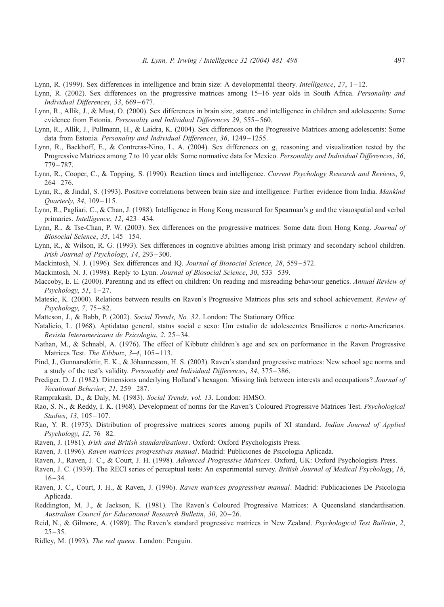- <span id="page-16-0"></span>Lynn, R. (1999). Sex differences in intelligence and brain size: A developmental theory. *Intelligence*, 27, 1–12.
- Lynn, R. (2002). Sex differences on the progressive matrices among 15–16 year olds in South Africa. Personality and Individual Differences, 33, 669-677.
- Lynn, R., Allik, J., & Must, O. (2000). Sex differences in brain size, stature and intelligence in children and adolescents: Some evidence from Estonia. Personality and Individual Differences 29, 555-560.
- Lynn, R., Allik, J., Pullmann, H., & Laidra, K. (2004). Sex differences on the Progressive Matrices among adolescents: Some data from Estonia. Personality and Individual Differences, 36, 1249–1255.
- Lynn, R., Backhoff, E., & Contreras-Nino, L. A. (2004). Sex differences on g, reasoning and visualization tested by the Progressive Matrices among 7 to 10 year olds: Some normative data for Mexico. Personality and Individual Differences, 36, 779 – 787.
- Lynn, R., Cooper, C., & Topping, S. (1990). Reaction times and intelligence. Current Psychology Research and Reviews, 9,  $264 - 276.$
- Lynn, R., & Jindal, S. (1993). Positive correlations between brain size and intelligence: Further evidence from India. Mankind Quarterly, 34, 109-115.
- Lynn, R., Pagliari, C., & Chan, J. (1988). Intelligence in Hong Kong measured for Spearman's g and the visuospatial and verbal primaries. *Intelligence*, 12, 423-434.
- Lynn, R., & Tse-Chan, P. W. (2003). Sex differences on the progressive matrices: Some data from Hong Kong. Journal of Biosocial Science, 35, 145 – 154.
- Lynn, R., & Wilson, R. G. (1993). Sex differences in cognitive abilities among Irish primary and secondary school children. Irish Journal of Psychology, 14, 293 – 300.
- Mackintosh, N. J. (1996). Sex differences and IQ. Journal of Biosocial Science, 28, 559 572.
- Mackintosh, N. J. (1998). Reply to Lynn. *Journal of Biosocial Science*, 30, 533–539.
- Maccoby, E. E. (2000). Parenting and its effect on children: On reading and misreading behaviour genetics. Annual Review of  $Psychology, 51, 1-27.$
- Matesic, K. (2000). Relations between results on Raven's Progressive Matrices plus sets and school achievement. Review of Psychology, 7, 75 – 82.
- Matteson, J., & Babb, P. (2002). Social Trends, No. 32. London: The Stationary Office.
- Natalicio, L. (1968). Aptidatao general, status social e sexo: Um estudio de adolescentes Brasilieros e norte-Americanos. Revista Interamericana de Psicologia, 2, 25 – 34.
- Nathan, M., & Schnabl, A. (1976). The effect of Kibbutz children's age and sex on performance in the Raven Progressive Matrices Test. The Kibbutz, 3-4, 105-113.
- Pind, J., Gunnarsdóttir, E. K., & Jóhannesson, H. S. (2003). Raven's standard progressive matrices: New school age norms and a study of the test's validity. Personality and Individual Differences, 34, 375 – 386.
- Prediger, D. J. (1982). Dimensions underlying Holland's hexagon: Missing link between interests and occupations? *Journal of* Vocational Behavior, 21, 259-287.
- Ramprakash, D., & Daly, M. (1983). Social Trends, vol. 13. London: HMSO.
- Rao, S. N., & Reddy, I. K. (1968). Development of norms for the Raven's Coloured Progressive Matrices Test. Psychological Studies, 13, 105-107.
- Rao, Y. R. (1975). Distribution of progressive matrices scores among pupils of XI standard. Indian Journal of Applied Psychology, 12, 76 – 82.
- Raven, J. (1981). Irish and British standardisations. Oxford: Oxford Psychologists Press.
- Raven, J. (1996). Raven matrices progressivas manual. Madrid: Publiciones de Psicologia Aplicada.
- Raven, J., Raven, J. C., & Court, J. H. (1998). Advanced Progressive Matrices. Oxford, UK: Oxford Psychologists Press.
- Raven, J. C. (1939). The RECI series of perceptual tests: An experimental survey. British Journal of Medical Psychology, 18,  $16 - 34.$
- Raven, J. C., Court, J. H., & Raven, J. (1996). Raven matrices progressivas manual. Madrid: Publicaciones De Psicologia Aplicada.
- Reddington, M. J., & Jackson, K. (1981). The Raven's Coloured Progressive Matrices: A Queensland standardisation. Australian Council for Educational Research Bulletin, 30, 20–26.
- Reid, N., & Gilmore, A. (1989). The Raven's standard progressive matrices in New Zealand. Psychological Test Bulletin, 2,  $25 - 35$ .
- Ridley, M. (1993). The red queen. London: Penguin.